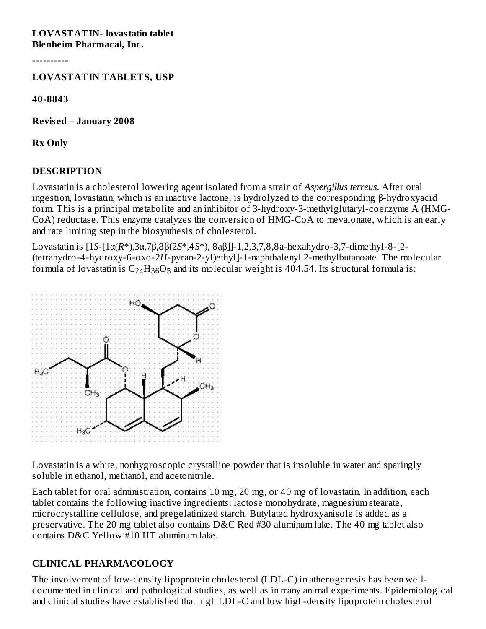#### **LOVASTATIN- lovastatin tablet Blenheim Pharmacal, Inc.**

----------

**LOVASTATIN TABLETS, USP**

**40-8843**

**Revis ed – January 2008**

**Rx Only**

#### **DESCRIPTION**

Lovastatin is a cholesterol lowering agent isolated from a strain of *Aspergillus terreus*. After oral ingestion, lovastatin, which is an inactive lactone, is hydrolyzed to the corresponding β-hydroxyacid form. This is a principal metabolite and an inhibitor of 3-hydroxy-3-methylglutaryl-coenzyme A (HMG-CoA) reductase. This enzyme catalyzes the conversion of HMG-CoA to mevalonate, which is an early and rate limiting step in the biosynthesis of cholesterol.

Lovastatin is [1*S*-[1α(*R*\*),3α,7β,8β(2*S*\*,4*S*\*), 8aβ]]-1,2,3,7,8,8a-hexahydro-3,7-dimethyl-8-[2- (tetrahydro-4-hydroxy-6-oxo-2*H*-pyran-2-yl)ethyl]-1-naphthalenyl 2-methylbutanoate. The molecular formula of lovastatin is  $\rm{C_{24}H_{36}O_{5}}$  and its molecular weight is 404.54. Its structural formula is:



Lovastatin is a white, nonhygroscopic crystalline powder that is insoluble in water and sparingly soluble in ethanol, methanol, and acetonitrile.

Each tablet for oral administration, contains 10 mg, 20 mg, or 40 mg of lovastatin. In addition, each tablet contains the following inactive ingredients: lactose monohydrate, magnesium stearate, microcrystalline cellulose, and pregelatinized starch. Butylated hydroxyanisole is added as a preservative. The 20 mg tablet also contains D&C Red #30 aluminum lake. The 40 mg tablet also contains D&C Yellow #10 HT aluminum lake.

#### **CLINICAL PHARMACOLOGY**

The involvement of low-density lipoprotein cholesterol (LDL-C) in atherogenesis has been welldocumented in clinical and pathological studies, as well as in many animal experiments. Epidemiological and clinical studies have established that high LDL-C and low high-density lipoprotein cholesterol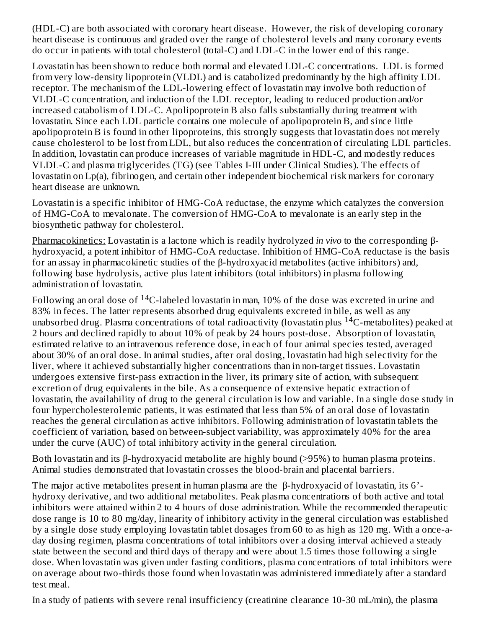(HDL-C) are both associated with coronary heart disease. However, the risk of developing coronary heart disease is continuous and graded over the range of cholesterol levels and many coronary events do occur in patients with total cholesterol (total-C) and LDL-C in the lower end of this range.

Lovastatin has been shown to reduce both normal and elevated LDL-C concentrations. LDL is formed from very low-density lipoprotein (VLDL) and is catabolized predominantly by the high affinity LDL receptor. The mechanism of the LDL-lowering effect of lovastatin may involve both reduction of VLDL-C concentration, and induction of the LDL receptor, leading to reduced production and/or increased catabolism of LDL-C. Apolipoprotein B also falls substantially during treatment with lovastatin. Since each LDL particle contains one molecule of apolipoprotein B, and since little apolipoprotein B is found in other lipoproteins, this strongly suggests that lovastatin does not merely cause cholesterol to be lost from LDL, but also reduces the concentration of circulating LDL particles. In addition, lovastatin can produce increases of variable magnitude in HDL-C, and modestly reduces VLDL-C and plasma triglycerides (TG) (see Tables I-III under Clinical Studies). The effects of lovastatin on Lp(a), fibrinogen, and certain other independent biochemical risk markers for coronary heart disease are unknown.

Lovastatin is a specific inhibitor of HMG-CoA reductase, the enzyme which catalyzes the conversion of HMG-CoA to mevalonate. The conversion of HMG-CoA to mevalonate is an early step in the biosynthetic pathway for cholesterol.

Pharmacokinetics: Lovastatin is a lactone which is readily hydrolyzed *in vivo* to the corresponding βhydroxyacid, a potent inhibitor of HMG-CoA reductase. Inhibition of HMG-CoA reductase is the basis for an assay in pharmacokinetic studies of the β-hydroxyacid metabolites (active inhibitors) and, following base hydrolysis, active plus latent inhibitors (total inhibitors) in plasma following administration of lovastatin.

Following an oral dose of  $\rm ^{14}C$ -labeled lovastatin in man, 10% of the dose was excreted in urine and 83% in feces. The latter represents absorbed drug equivalents excreted in bile, as well as any unabsorbed drug. Plasma concentrations of total radioactivity (lovastatin plus  $^{14}$ C-metabolites) peaked at 2 hours and declined rapidly to about 10% of peak by 24 hours post-dose. Absorption of lovastatin, estimated relative to an intravenous reference dose, in each of four animal species tested, averaged about 30% of an oral dose. In animal studies, after oral dosing, lovastatin had high selectivity for the liver, where it achieved substantially higher concentrations than in non-target tissues. Lovastatin undergoes extensive first-pass extraction in the liver, its primary site of action, with subsequent excretion of drug equivalents in the bile. As a consequence of extensive hepatic extraction of lovastatin, the availability of drug to the general circulation is low and variable. In a single dose study in four hypercholesterolemic patients, it was estimated that less than 5% of an oral dose of lovastatin reaches the general circulation as active inhibitors. Following administration of lovastatin tablets the coefficient of variation, based on between-subject variability, was approximately 40% for the area under the curve (AUC) of total inhibitory activity in the general circulation.

Both lovastatin and its β-hydroxyacid metabolite are highly bound (>95%) to human plasma proteins. Animal studies demonstrated that lovastatin crosses the blood-brain and placental barriers.

The major active metabolites present in human plasma are the β-hydroxyacid of lovastatin, its 6' hydroxy derivative, and two additional metabolites. Peak plasma concentrations of both active and total inhibitors were attained within 2 to 4 hours of dose administration. While the recommended therapeutic dose range is 10 to 80 mg/day, linearity of inhibitory activity in the general circulation was established by a single dose study employing lovastatin tablet dosages from 60 to as high as 120 mg. With a once-aday dosing regimen, plasma concentrations of total inhibitors over a dosing interval achieved a steady state between the second and third days of therapy and were about 1.5 times those following a single dose. When lovastatin was given under fasting conditions, plasma concentrations of total inhibitors were on average about two-thirds those found when lovastatin was administered immediately after a standard test meal.

In a study of patients with severe renal insufficiency (creatinine clearance 10-30 mL/min), the plasma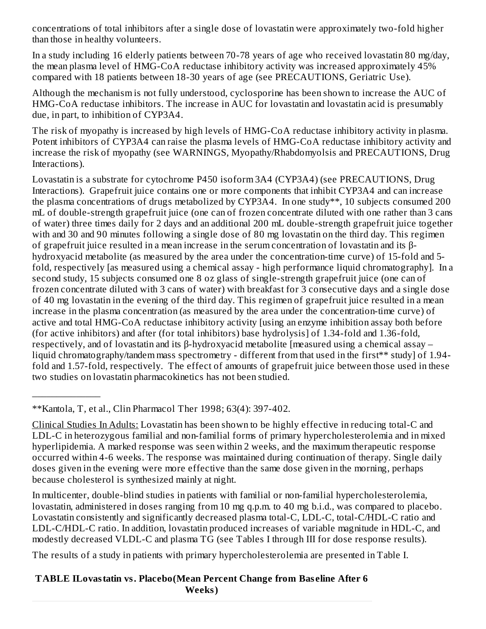concentrations of total inhibitors after a single dose of lovastatin were approximately two-fold higher than those in healthy volunteers.

In a study including 16 elderly patients between 70-78 years of age who received lovastatin 80 mg/day, the mean plasma level of HMG-CoA reductase inhibitory activity was increased approximately 45% compared with 18 patients between 18-30 years of age (see PRECAUTIONS, Geriatric Use).

Although the mechanism is not fully understood, cyclosporine has been shown to increase the AUC of HMG-CoA reductase inhibitors. The increase in AUC for lovastatin and lovastatin acid is presumably due, in part, to inhibition of CYP3A4.

The risk of myopathy is increased by high levels of HMG-CoA reductase inhibitory activity in plasma. Potent inhibitors of CYP3A4 can raise the plasma levels of HMG-CoA reductase inhibitory activity and increase the risk of myopathy (see WARNINGS, Myopathy/Rhabdomyolsis and PRECAUTIONS, Drug Interactions).

Lovastatin is a substrate for cytochrome P450 isoform 3A4 (CYP3A4) (see PRECAUTIONS, Drug Interactions). Grapefruit juice contains one or more components that inhibit CYP3A4 and can increase the plasma concentrations of drugs metabolized by CYP3A4. In one study\*\*, 10 subjects consumed 200 mL of double-strength grapefruit juice (one can of frozen concentrate diluted with one rather than 3 cans of water) three times daily for 2 days and an additional 200 mL double-strength grapefruit juice together with and 30 and 90 minutes following a single dose of 80 mg lovastatin on the third day. This regimen of grapefruit juice resulted in a mean increase in the serum concentration of lovastatin and its βhydroxyacid metabolite (as measured by the area under the concentration-time curve) of 15-fold and 5 fold, respectively [as measured using a chemical assay - high performance liquid chromatography]. In a second study, 15 subjects consumed one 8 oz glass of single-strength grapefruit juice (one can of frozen concentrate diluted with 3 cans of water) with breakfast for 3 consecutive days and a single dose of 40 mg lovastatin in the evening of the third day. This regimen of grapefruit juice resulted in a mean increase in the plasma concentration (as measured by the area under the concentration-time curve) of active and total HMG-CoA reductase inhibitory activity [using an enzyme inhibition assay both before (for active inhibitors) and after (for total inhibitors) base hydrolysis] of 1.34-fold and 1.36-fold, respectively, and of lovastatin and its β-hydroxyacid metabolite [measured using a chemical assay – liquid chromatography/tandem mass spectrometry - different from that used in the first\*\* study] of 1.94 fold and 1.57-fold, respectively. The effect of amounts of grapefruit juice between those used in these two studies on lovastatin pharmacokinetics has not been studied.

\_\_\_\_\_\_\_\_\_\_\_\_\_\_

In multicenter, double-blind studies in patients with familial or non-familial hypercholesterolemia, lovastatin, administered in doses ranging from 10 mg q.p.m. to 40 mg b.i.d., was compared to placebo. Lovastatin consistently and significantly decreased plasma total-C, LDL-C, total-C/HDL-C ratio and LDL-C/HDL-C ratio. In addition, lovastatin produced increases of variable magnitude in HDL-C, and modestly decreased VLDL-C and plasma TG (see Tables I through III for dose response results).

The results of a study in patients with primary hypercholesterolemia are presented in Table I.

## **TABLE ILovastatin vs. Placebo(Mean Percent Change from Bas eline After 6 Weeks)**

<sup>\*\*</sup>Kantola, T, et al., Clin Pharmacol Ther 1998; 63(4): 397-402.

Clinical Studies In Adults: Lovastatin has been shown to be highly effective in reducing total-C and LDL-C in heterozygous familial and non-familial forms of primary hypercholesterolemia and in mixed hyperlipidemia. A marked response was seen within 2 weeks, and the maximum therapeutic response occurred within 4-6 weeks. The response was maintained during continuation of therapy. Single daily doses given in the evening were more effective than the same dose given in the morning, perhaps because cholesterol is synthesized mainly at night.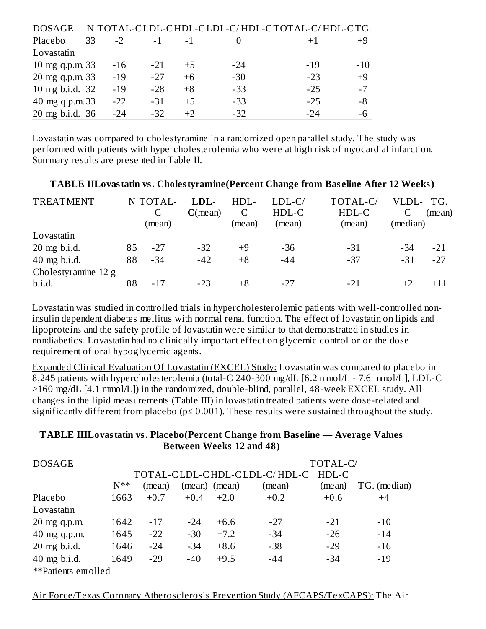| <b>DOSAGE</b>   |    |       |       |      | N TOTAL-CLDL-CHDL-CLDL-C/HDL-CTOTAL-C/HDL-CTG. |       |       |
|-----------------|----|-------|-------|------|------------------------------------------------|-------|-------|
| Placebo         | 33 | $-2$  | $-1$  |      |                                                | $+1$  | +9    |
| Lovastatin      |    |       |       |      |                                                |       |       |
| 10 mg q.p.m. 33 |    | $-16$ | $-21$ | $+5$ | $-24$                                          | -19   | $-10$ |
| 20 mg q.p.m. 33 |    | $-19$ | $-27$ | $+6$ | $-30$                                          | $-23$ | $+9$  |
| 10 mg b.i.d. 32 |    | $-19$ | $-28$ | $+8$ | $-33$                                          | $-25$ | $-7$  |
| 40 mg q.p.m. 33 |    | $-22$ | $-31$ | $+5$ | $-33$                                          | $-25$ | -8    |
| 20 mg b.i.d. 36 |    | $-24$ | $-32$ | $+2$ | $-32$                                          | -24   | -6    |

Lovastatin was compared to cholestyramine in a randomized open parallel study. The study was performed with patients with hypercholesterolemia who were at high risk of myocardial infarction. Summary results are presented in Table II.

| <b>TREATMENT</b>       |    | N TOTAL- | LDL-       | HDL-   | $LDL-C/$ | TOTAL-C/ | VLDL-    | TG.    |
|------------------------|----|----------|------------|--------|----------|----------|----------|--------|
|                        |    | C        | $C$ (mean) |        | HDL-C    | HDL-C    | C        | (mean) |
|                        |    | (mean)   |            | (mean) | (mean)   | (mean)   | (median) |        |
| Lovastatin             |    |          |            |        |          |          |          |        |
| $20 \text{ mg}$ b.i.d. | 85 | $-27$    | $-32$      | $+9$   | $-36$    | $-31$    | $-34$    | $-21$  |
| $40$ mg b.i.d.         | 88 | $-34$    | $-42$      | $+8$   | -44      | $-37$    | $-31$    | $-27$  |
| Cholestyramine 12 g    |    |          |            |        |          |          |          |        |
| b.i.d.                 | 88 | $-17$    | $-23$      | $+8$   | $-27$    | -21      | $+2$     | $+11$  |

#### **TABLE IILovastatin vs. Cholestyramine(Percent Change from Bas eline After 12 Weeks)**

Lovastatin was studied in controlled trials in hypercholesterolemic patients with well-controlled noninsulin dependent diabetes mellitus with normal renal function. The effect of lovastatin on lipids and lipoproteins and the safety profile of lovastatin were similar to that demonstrated in studies in nondiabetics. Lovastatin had no clinically important effect on glycemic control or on the dose requirement of oral hypoglycemic agents.

Expanded Clinical Evaluation Of Lovastatin (EXCEL) Study: Lovastatin was compared to placebo in 8,245 patients with hypercholesterolemia (total-C 240-300 mg/dL [6.2 mmol/L - 7.6 mmol/L], LDL-C >160 mg/dL [4.1 mmol/L]) in the randomized, double-blind, parallel, 48-week EXCEL study. All changes in the lipid measurements (Table III) in lovastatin treated patients were dose-related and significantly different from placebo ( $p \le 0.001$ ). These results were sustained throughout the study.

| Detweell Weeks IZ ally 40) |          |        |        |        |                              |          |              |  |
|----------------------------|----------|--------|--------|--------|------------------------------|----------|--------------|--|
| <b>DOSAGE</b>              |          |        |        |        |                              | TOTAL-C/ |              |  |
|                            |          |        |        |        | TOTAL-CLDL-CHDL-CLDL-C/HDL-C | $HDL-C$  |              |  |
|                            | $N^{**}$ | (mean) | (mean) | (mean) | (mean)                       | (mean)   | TG. (median) |  |
| Placebo                    | 1663     | $+0.7$ | $+0.4$ | $+2.0$ | $+0.2$                       | $+0.6$   | $+4$         |  |
| Lovastatin                 |          |        |        |        |                              |          |              |  |
| 20 mg q.p.m.               | 1642     | $-17$  | $-24$  | $+6.6$ | $-27$                        | $-21$    | $-10$        |  |
| 40 mg q.p.m.               | 1645     | $-22$  | $-30$  | $+7.2$ | $-34$                        | $-26$    | $-14$        |  |
| $20 \text{ mg}$ b.i.d.     | 1646     | $-24$  | $-34$  | $+8.6$ | $-38$                        | $-29$    | $-16$        |  |
| 40 mg b.i.d.               | 1649     | $-29$  | $-40$  | $+9.5$ | $-44$                        | $-34$    | $-19$        |  |

#### **TABLE IIILovastatin vs. Placebo(Percent Change from Bas eline — Average Values Between Weeks 12 and 48)**

\*\*Patients enrolled

#### Air Force/Texas Coronary Atherosclerosis Prevention Study (AFCAPS/TexCAPS): The Air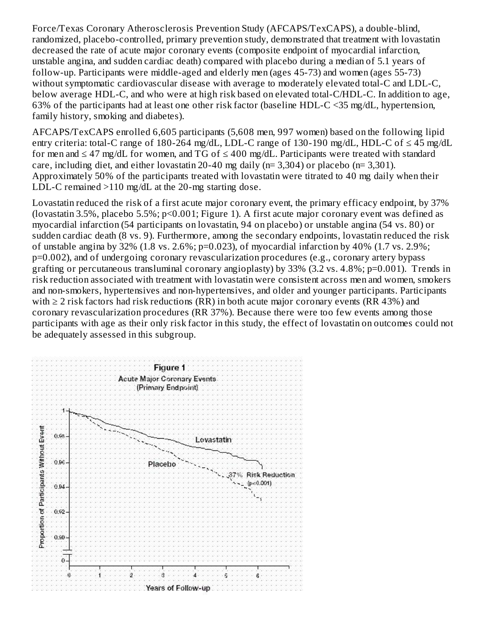Force/Texas Coronary Atherosclerosis Prevention Study (AFCAPS/TexCAPS), a double-blind, randomized, placebo-controlled, primary prevention study, demonstrated that treatment with lovastatin decreased the rate of acute major coronary events (composite endpoint of myocardial infarction, unstable angina, and sudden cardiac death) compared with placebo during a median of 5.1 years of follow-up. Participants were middle-aged and elderly men (ages 45-73) and women (ages 55-73) without symptomatic cardiovascular disease with average to moderately elevated total-C and LDL-C, below average HDL-C, and who were at high risk based on elevated total-C/HDL-C. In addition to age, 63% of the participants had at least one other risk factor (baseline HDL-C <35 mg/dL, hypertension, family history, smoking and diabetes).

AFCAPS/TexCAPS enrolled 6,605 participants (5,608 men, 997 women) based on the following lipid entry criteria: total-C range of 180-264 mg/dL, LDL-C range of 130-190 mg/dL, HDL-C of ≤ 45 mg/dL for men and  $\leq 47$  mg/dL for women, and TG of  $\leq 400$  mg/dL. Participants were treated with standard care, including diet, and either lovastatin 20-40 mg daily ( $n= 3,304$ ) or placebo ( $n= 3,301$ ). Approximately 50% of the participants treated with lovastatin were titrated to 40 mg daily when their LDL-C remained >110 mg/dL at the 20-mg starting dose.

Lovastatin reduced the risk of a first acute major coronary event, the primary efficacy endpoint, by 37% (lovastatin 3.5%, placebo 5.5%; p<0.001; Figure 1). A first acute major coronary event was defined as myocardial infarction (54 participants on lovastatin, 94 on placebo) or unstable angina (54 vs. 80) or sudden cardiac death (8 vs. 9). Furthermore, among the secondary endpoints, lovastatin reduced the risk of unstable angina by 32% (1.8 vs. 2.6%;  $p=0.023$ ), of myocardial infarction by 40% (1.7 vs. 2.9%; p=0.002), and of undergoing coronary revascularization procedures (e.g., coronary artery bypass grafting or percutaneous transluminal coronary angioplasty) by 33% (3.2 vs. 4.8%; p=0.001). Trends in risk reduction associated with treatment with lovastatin were consistent across men and women, smokers and non-smokers, hypertensives and non-hypertensives, and older and younger participants. Participants with  $\geq 2$  risk factors had risk reductions (RR) in both acute major coronary events (RR 43%) and coronary revascularization procedures (RR 37%). Because there were too few events among those participants with age as their only risk factor in this study, the effect of lovastatin on outcomes could not be adequately assessed in this subgroup.

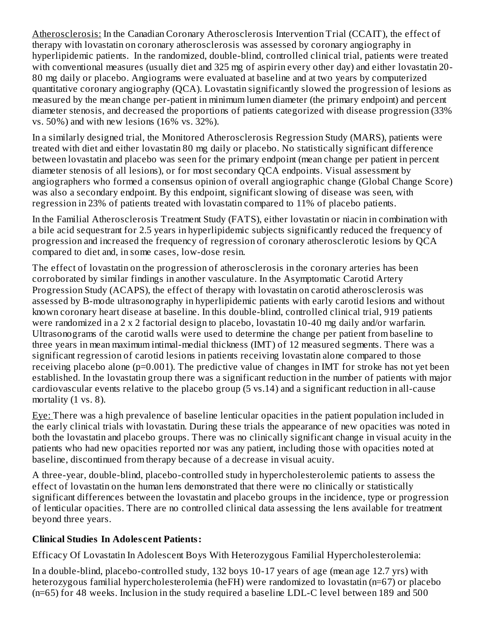Atherosclerosis: In the Canadian Coronary Atherosclerosis Intervention Trial (CCAIT), the effect of therapy with lovastatin on coronary atherosclerosis was assessed by coronary angiography in hyperlipidemic patients. In the randomized, double-blind, controlled clinical trial, patients were treated with conventional measures (usually diet and 325 mg of aspirin every other day) and either lovastatin 20- 80 mg daily or placebo. Angiograms were evaluated at baseline and at two years by computerized quantitative coronary angiography (QCA). Lovastatin significantly slowed the progression of lesions as measured by the mean change per-patient in minimum lumen diameter (the primary endpoint) and percent diameter stenosis, and decreased the proportions of patients categorized with disease progression (33% vs. 50%) and with new lesions (16% vs. 32%).

In a similarly designed trial, the Monitored Atherosclerosis Regression Study (MARS), patients were treated with diet and either lovastatin 80 mg daily or placebo. No statistically significant difference between lovastatin and placebo was seen for the primary endpoint (mean change per patient in percent diameter stenosis of all lesions), or for most secondary QCA endpoints. Visual assessment by angiographers who formed a consensus opinion of overall angiographic change (Global Change Score) was also a secondary endpoint. By this endpoint, significant slowing of disease was seen, with regression in 23% of patients treated with lovastatin compared to 11% of placebo patients.

In the Familial Atherosclerosis Treatment Study (FATS), either lovastatin or niacin in combination with a bile acid sequestrant for 2.5 years in hyperlipidemic subjects significantly reduced the frequency of progression and increased the frequency of regression of coronary atherosclerotic lesions by QCA compared to diet and, in some cases, low-dose resin.

The effect of lovastatin on the progression of atherosclerosis in the coronary arteries has been corroborated by similar findings in another vasculature. In the Asymptomatic Carotid Artery Progression Study (ACAPS), the effect of therapy with lovastatin on carotid atherosclerosis was assessed by B-mode ultrasonography in hyperlipidemic patients with early carotid lesions and without known coronary heart disease at baseline. In this double-blind, controlled clinical trial, 919 patients were randomized in a 2 x 2 factorial design to placebo, lovastatin 10-40 mg daily and/or warfarin. Ultrasonograms of the carotid walls were used to determine the change per patient from baseline to three years in mean maximum intimal-medial thickness (IMT) of 12 measured segments. There was a significant regression of carotid lesions in patients receiving lovastatin alone compared to those receiving placebo alone (p=0.001). The predictive value of changes in IMT for stroke has not yet been established. In the lovastatin group there was a significant reduction in the number of patients with major cardiovascular events relative to the placebo group (5 vs.14) and a significant reduction in all-cause mortality  $(1 \text{ vs. } 8)$ .

Eye: There was a high prevalence of baseline lenticular opacities in the patient population included in the early clinical trials with lovastatin. During these trials the appearance of new opacities was noted in both the lovastatin and placebo groups. There was no clinically significant change in visual acuity in the patients who had new opacities reported nor was any patient, including those with opacities noted at baseline, discontinued from therapy because of a decrease in visual acuity.

A three-year, double-blind, placebo-controlled study in hypercholesterolemic patients to assess the effect of lovastatin on the human lens demonstrated that there were no clinically or statistically significant differences between the lovastatin and placebo groups in the incidence, type or progression of lenticular opacities. There are no controlled clinical data assessing the lens available for treatment beyond three years.

## **Clinical Studies In Adoles cent Patients:**

Efficacy Of Lovastatin In Adolescent Boys With Heterozygous Familial Hypercholesterolemia:

In a double-blind, placebo-controlled study, 132 boys 10-17 years of age (mean age 12.7 yrs) with heterozygous familial hypercholesterolemia (heFH) were randomized to lovastatin (n=67) or placebo (n=65) for 48 weeks. Inclusion in the study required a baseline LDL-C level between 189 and 500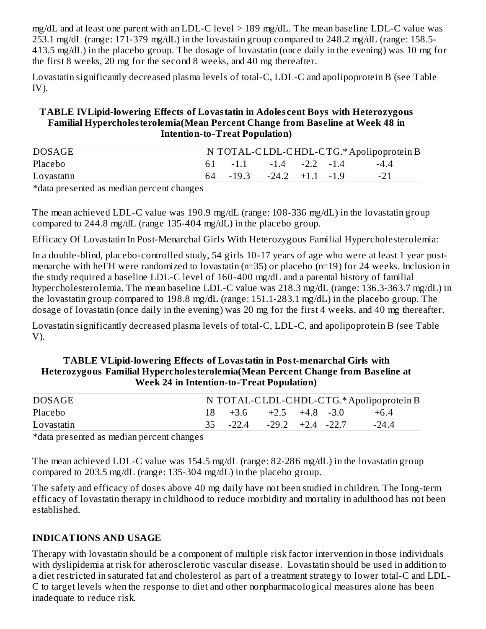mg/dL and at least one parent with an LDL-C level > 189 mg/dL. The mean baseline LDL-C value was 253.1 mg/dL (range: 171-379 mg/dL) in the lovastatin group compared to 248.2 mg/dL (range: 158.5- 413.5 mg/dL) in the placebo group. The dosage of lovastatin (once daily in the evening) was 10 mg for the first 8 weeks, 20 mg for the second 8 weeks, and 40 mg thereafter.

Lovastatin significantly decreased plasma levels of total-C, LDL-C and apolipoprotein B (see Table IV).

#### **TABLE IVLipid-lowering Effects of Lovastatin in Adoles cent Boys with Heterozygous Familial Hypercholesterolemia(Mean Percent Change from Bas eline at Week 48 in Intention-to-Treat Population)**

| <b>DOSAGE</b> |                               |                             |  | N TOTAL-CLDL-CHDL-CTG.*Apolipoprotein B |
|---------------|-------------------------------|-----------------------------|--|-----------------------------------------|
| Placebo       |                               | $-1.1$ $-1.4$ $-2.2$ $-1.4$ |  | -44                                     |
| Lovastatin    | $-19.3$ $-24.2$ $+1.1$ $-1.9$ |                             |  |                                         |

\*data presented as median percent changes

The mean achieved LDL-C value was 190.9 mg/dL (range: 108-336 mg/dL) in the lovastatin group compared to 244.8 mg/dL (range 135-404 mg/dL) in the placebo group.

Efficacy Of Lovastatin In Post-Menarchal Girls With Heterozygous Familial Hypercholesterolemia:

In a double-blind, placebo-controlled study, 54 girls 10-17 years of age who were at least 1 year postmenarche with heFH were randomized to lovastatin (n=35) or placebo (n=19) for 24 weeks. Inclusion in the study required a baseline LDL-C level of 160-400 mg/dL and a parental history of familial hypercholesterolemia. The mean baseline LDL-C value was 218.3 mg/dL (range: 136.3-363.7 mg/dL) in the lovastatin group compared to 198.8 mg/dL (range: 151.1-283.1 mg/dL) in the placebo group. The dosage of lovastatin (once daily in the evening) was 20 mg for the first 4 weeks, and 40 mg thereafter.

Lovastatin significantly decreased plasma levels of total-C, LDL-C, and apolipoprotein B (see Table V).

#### **TABLE VLipid-lowering Effects of Lovastatin in Post-menarchal Girls with Heterozygous Familial Hypercholesterolemia(Mean Percent Change from Bas eline at Week 24 in Intention-to-Treat Population)**

| <b>DOSAGE</b> |  |                             |  | N TOTAL-CLDL-CHDL-CTG.*Apolipoprotein B |
|---------------|--|-----------------------------|--|-----------------------------------------|
| Placebo       |  | $+3.6$ $+2.5$ $+4.8$ $-3.0$ |  | $+64$                                   |
| Lovastatin    |  | $35 -22.4 -29.2 +2.4 -22.7$ |  | $-24.4$                                 |

\*data presented as median percent changes

The mean achieved LDL-C value was 154.5 mg/dL (range: 82-286 mg/dL) in the lovastatin group compared to 203.5 mg/dL (range: 135-304 mg/dL) in the placebo group.

The safety and efficacy of doses above 40 mg daily have not been studied in children. The long-term efficacy of lovastatin therapy in childhood to reduce morbidity and mortality in adulthood has not been established.

## **INDICATIONS AND USAGE**

Therapy with lovastatin should be a component of multiple risk factor intervention in those individuals with dyslipidemia at risk for atherosclerotic vascular disease. Lovastatin should be used in addition to a diet restricted in saturated fat and cholesterol as part of a treatment strategy to lower total-C and LDL-C to target levels when the response to diet and other nonpharmacological measures alone has been inadequate to reduce risk.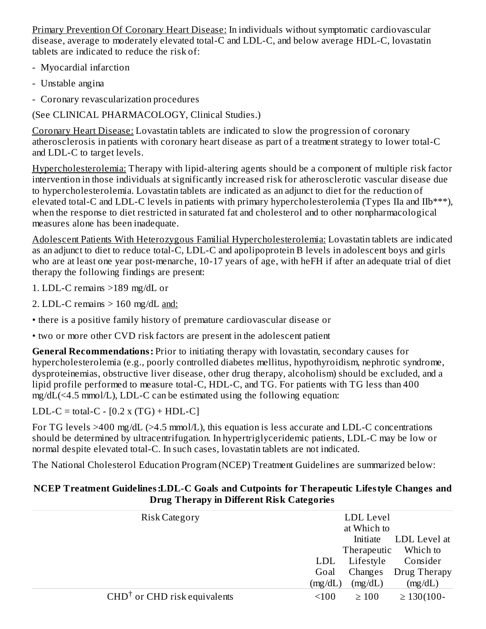Primary Prevention Of Coronary Heart Disease: In individuals without symptomatic cardiovascular disease, average to moderately elevated total-C and LDL-C, and below average HDL-C, lovastatin tablets are indicated to reduce the risk of:

- Myocardial infarction
- Unstable angina
- Coronary revascularization procedures

(See CLINICAL PHARMACOLOGY, Clinical Studies.)

Coronary Heart Disease: Lovastatin tablets are indicated to slow the progression of coronary atherosclerosis in patients with coronary heart disease as part of a treatment strategy to lower total-C and LDL-C to target levels.

Hypercholesterolemia: Therapy with lipid-altering agents should be a component of multiple risk factor intervention in those individuals at significantly increased risk for atherosclerotic vascular disease due to hypercholesterolemia. Lovastatin tablets are indicated as an adjunct to diet for the reduction of elevated total-C and LDL-C levels in patients with primary hypercholesterolemia (Types IIa and IIb\*\*\*), when the response to diet restricted in saturated fat and cholesterol and to other nonpharmacological measures alone has been inadequate.

Adolescent Patients With Heterozygous Familial Hypercholesterolemia: Lovastatin tablets are indicated as an adjunct to diet to reduce total-C, LDL-C and apolipoprotein B levels in adolescent boys and girls who are at least one year post-menarche, 10-17 years of age, with heFH if after an adequate trial of diet therapy the following findings are present:

1. LDL-C remains >189 mg/dL or

2. LDL-C remains  $> 160$  mg/dL and:

• there is a positive family history of premature cardiovascular disease or

• two or more other CVD risk factors are present in the adolescent patient

**General Recommendations:** Prior to initiating therapy with lovastatin, secondary causes for hypercholesterolemia (e.g., poorly controlled diabetes mellitus, hypothyroidism, nephrotic syndrome, dysproteinemias, obstructive liver disease, other drug therapy, alcoholism) should be excluded, and a lipid profile performed to measure total-C, HDL-C, and TG. For patients with TG less than 400 mg/dL(<4.5 mmol/L), LDL-C can be estimated using the following equation:

LDL-C = total-C -  $[0.2 \times (TG) + HDL-C]$ 

For TG levels >400 mg/dL (>4.5 mmol/L), this equation is less accurate and LDL-C concentrations should be determined by ultracentrifugation. In hypertriglyceridemic patients, LDL-C may be low or normal despite elevated total-C. In such cases, lovastatin tablets are not indicated.

The National Cholesterol Education Program (NCEP) Treatment Guidelines are summarized below:

#### **NCEP Treatment Guidelines:LDL-C Goals and Cutpoints for Therapeutic Lifestyle Changes and Drug Therapy in Different Risk Categories**

| Risk Category                  |            | LDL Level   |                      |
|--------------------------------|------------|-------------|----------------------|
|                                |            | at Which to |                      |
|                                |            | Initiate    | LDL Level at         |
|                                |            | Therapeutic | Which to             |
|                                | <b>LDL</b> | Lifestyle   | Consider             |
|                                | Goal       |             | Changes Drug Therapy |
|                                | (mg/dL)    | (mg/dL)     | (mg/dL)              |
| $CHD†$ or CHD risk equivalents | < 100      | $\geq 100$  | $\geq$ 130(100-      |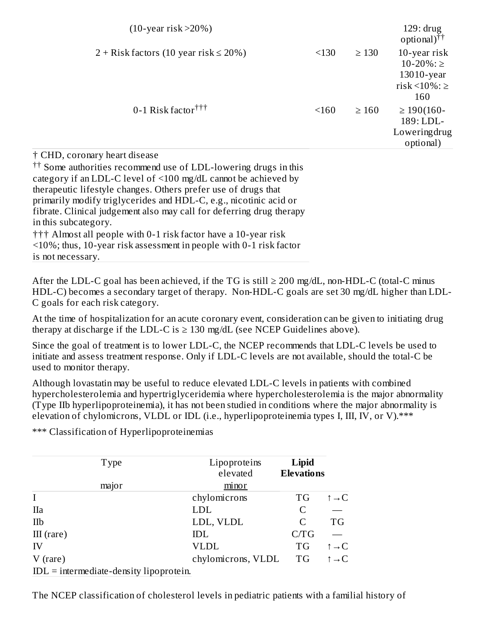| $(10$ -year risk >20%)                                                                                                                                                                                                                                                                                                                                                              |       |            | $129:$ drug<br>optional) $^{\dagger \dagger}$                               |
|-------------------------------------------------------------------------------------------------------------------------------------------------------------------------------------------------------------------------------------------------------------------------------------------------------------------------------------------------------------------------------------|-------|------------|-----------------------------------------------------------------------------|
| $2 +$ Risk factors (10 year risk $\leq$ 20%)                                                                                                                                                                                                                                                                                                                                        | < 130 | $\geq 130$ | 10-year risk<br>$10-20\%$ : $\geq$<br>13010-year<br>risk <10%: $\ge$<br>160 |
| 0-1 Risk factor $^{\dagger\dagger\dagger}$                                                                                                                                                                                                                                                                                                                                          | < 160 | $\geq 160$ | $\geq$ 190(160-<br>189: LDL-<br>Loweringdrug<br>optional)                   |
| † CHD, coronary heart disease                                                                                                                                                                                                                                                                                                                                                       |       |            |                                                                             |
| <sup>††</sup> Some authorities recommend use of LDL-lowering drugs in this<br>category if an LDL-C level of <100 mg/dL cannot be achieved by<br>therapeutic lifestyle changes. Others prefer use of drugs that<br>primarily modify triglycerides and HDL-C, e.g., nicotinic acid or<br>fibrate. Clinical judgement also may call for deferring drug therapy<br>in this subcategory. |       |            |                                                                             |
| ††† Almost all people with 0-1 risk factor have a 10-year risk<br>$\leq$ 10%; thus, 10-year risk assessment in people with 0-1 risk factor<br>is not necessary.                                                                                                                                                                                                                     |       |            |                                                                             |

After the LDL-C goal has been achieved, if the TG is still  $\geq 200$  mg/dL, non-HDL-C (total-C minus HDL-C) becomes a secondary target of therapy. Non-HDL-C goals are set 30 mg/dL higher than LDL-C goals for each risk category.

At the time of hospitalization for an acute coronary event, consideration can be given to initiating drug therapy at discharge if the LDL-C is  $\geq$  130 mg/dL (see NCEP Guidelines above).

Since the goal of treatment is to lower LDL-C, the NCEP recommends that LDL-C levels be used to initiate and assess treatment response. Only if LDL-C levels are not available, should the total-C be used to monitor therapy.

Although lovastatin may be useful to reduce elevated LDL-C levels in patients with combined hypercholesterolemia and hypertriglyceridemia where hypercholesterolemia is the major abnormality (Type IIb hyperlipoproteinemia), it has not been studied in conditions where the major abnormality is elevation of chylomicrons, VLDL or IDL (i.e., hyperlipoproteinemia types I, III, IV, or V).\*\*\*

\*\*\* Classification of Hyperlipoproteinemias

| <b>Type</b>                               | Lipoproteins<br>elevated | Lipid<br><b>Elevations</b> |                          |
|-------------------------------------------|--------------------------|----------------------------|--------------------------|
| major                                     | minor                    |                            |                          |
|                                           | chylomicrons             | TG                         | $\uparrow \rightarrow C$ |
| <b>IIa</b>                                | <b>LDL</b>               | C                          |                          |
| IIb                                       | LDL, VLDL                | C                          | <b>TG</b>                |
| $III$ (rare)                              | IDL                      | C/TG                       |                          |
| IV                                        | VLDL                     | <b>TG</b>                  | $\uparrow \rightarrow C$ |
| $V$ (rare)                                | chylomicrons, VLDL       | TG                         | $\uparrow \rightarrow C$ |
| $IDL = intermediate-density lipoprotein.$ |                          |                            |                          |

The NCEP classification of cholesterol levels in pediatric patients with a familial history of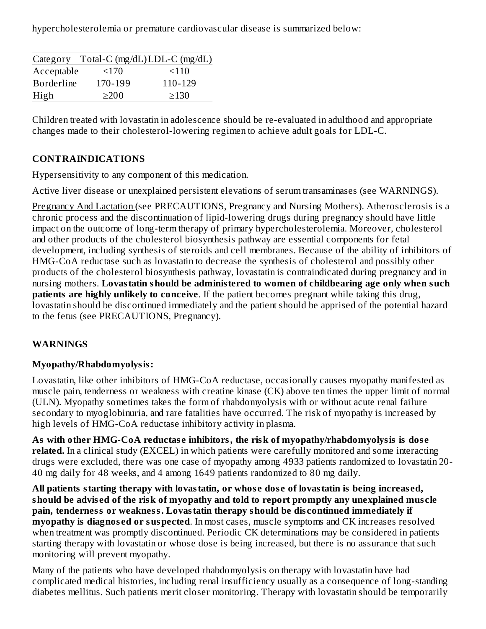hypercholesterolemia or premature cardiovascular disease is summarized below:

|                   | Category $Total-C (mg/dL)LDL-C (mg/dL)$ |         |
|-------------------|-----------------------------------------|---------|
| Acceptable        | <170                                    | <110    |
| <b>Borderline</b> | 170-199                                 | 110-129 |
| High              | >200                                    | >130    |

Children treated with lovastatin in adolescence should be re-evaluated in adulthood and appropriate changes made to their cholesterol-lowering regimen to achieve adult goals for LDL-C.

## **CONTRAINDICATIONS**

Hypersensitivity to any component of this medication.

Active liver disease or unexplained persistent elevations of serum transaminases (see WARNINGS).

Pregnancy And Lactation (see PRECAUTIONS, Pregnancy and Nursing Mothers). Atherosclerosis is a chronic process and the discontinuation of lipid-lowering drugs during pregnancy should have little impact on the outcome of long-term therapy of primary hypercholesterolemia. Moreover, cholesterol and other products of the cholesterol biosynthesis pathway are essential components for fetal development, including synthesis of steroids and cell membranes. Because of the ability of inhibitors of HMG-CoA reductase such as lovastatin to decrease the synthesis of cholesterol and possibly other products of the cholesterol biosynthesis pathway, lovastatin is contraindicated during pregnancy and in nursing mothers. **Lovastatin should be administered to women of childbearing age only when such patients are highly unlikely to conceive**. If the patient becomes pregnant while taking this drug, lovastatin should be discontinued immediately and the patient should be apprised of the potential hazard to the fetus (see PRECAUTIONS, Pregnancy).

## **WARNINGS**

#### **Myopathy/Rhabdomyolysis:**

Lovastatin, like other inhibitors of HMG-CoA reductase, occasionally causes myopathy manifested as muscle pain, tenderness or weakness with creatine kinase (CK) above ten times the upper limit of normal (ULN). Myopathy sometimes takes the form of rhabdomyolysis with or without acute renal failure secondary to myoglobinuria, and rare fatalities have occurred. The risk of myopathy is increased by high levels of HMG-CoA reductase inhibitory activity in plasma.

**As with other HMG-CoA reductas e inhibitors, the risk of myopathy/rhabdomyolysis is dos e related.** In a clinical study (EXCEL) in which patients were carefully monitored and some interacting drugs were excluded, there was one case of myopathy among 4933 patients randomized to lovastatin 20- 40 mg daily for 48 weeks, and 4 among 1649 patients randomized to 80 mg daily.

**All patients starting therapy with lovastatin, or whos e dos e of lovastatin is being increas ed, should be advis ed of the risk of myopathy and told to report promptly any unexplained mus cle pain, tenderness or weakness. Lovastatin therapy should be dis continued immediately if myopathy is diagnos ed or suspected**. In most cases, muscle symptoms and CK increases resolved when treatment was promptly discontinued. Periodic CK determinations may be considered in patients starting therapy with lovastatin or whose dose is being increased, but there is no assurance that such monitoring will prevent myopathy.

Many of the patients who have developed rhabdomyolysis on therapy with lovastatin have had complicated medical histories, including renal insufficiency usually as a consequence of long-standing diabetes mellitus. Such patients merit closer monitoring. Therapy with lovastatin should be temporarily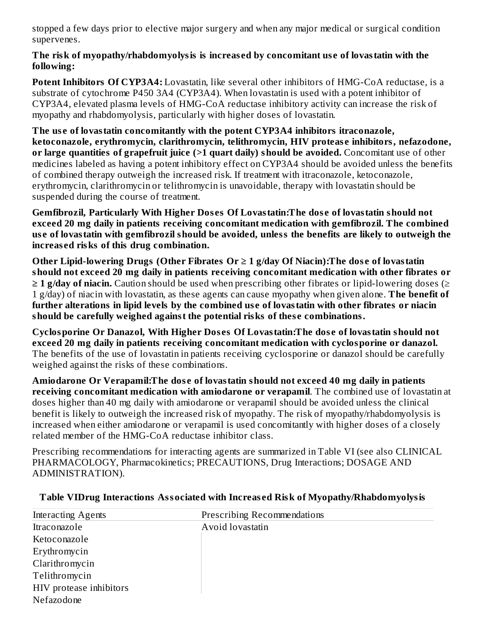stopped a few days prior to elective major surgery and when any major medical or surgical condition supervenes.

#### **The risk of myopathy/rhabdomyolysis is increas ed by concomitant us e of lovastatin with the following:**

**Potent Inhibitors Of CYP3A4:** Lovastatin, like several other inhibitors of HMG-CoA reductase, is a substrate of cytochrome P450 3A4 (CYP3A4). When lovastatin is used with a potent inhibitor of CYP3A4, elevated plasma levels of HMG-CoA reductase inhibitory activity can increase the risk of myopathy and rhabdomyolysis, particularly with higher doses of lovastatin.

**The us e of lovastatin concomitantly with the potent CYP3A4 inhibitors itraconazole, ketoconazole, erythromycin, clarithromycin, telithromycin, HIV proteas e inhibitors, nefazodone, or large quantities of grapefruit juice (>1 quart daily) should be avoided.** Concomitant use of other medicines labeled as having a potent inhibitory effect on CYP3A4 should be avoided unless the benefits of combined therapy outweigh the increased risk. If treatment with itraconazole, ketoconazole, erythromycin, clarithromycin or telithromycin is unavoidable, therapy with lovastatin should be suspended during the course of treatment.

**Gemfibrozil, Particularly With Higher Dos es Of Lovastatin:The dos e of lovastatin should not exceed 20 mg daily in patients receiving concomitant medication with gemfibrozil. The combined us e of lovastatin with gemfibrozil should be avoided, unless the benefits are likely to outweigh the increas ed risks of this drug combination.**

**Other Lipid-lowering Drugs (Other Fibrates Or ≥ 1 g/day Of Niacin):The dos e of lovastatin should not exceed 20 mg daily in patients receiving concomitant medication with other fibrates or ≥ 1 g/day of niacin.** Caution should be used when prescribing other fibrates or lipid-lowering doses (≥ 1 g/day) of niacin with lovastatin, as these agents can cause myopathy when given alone. **The benefit of further alterations in lipid levels by the combined us e of lovastatin with other fibrates or niacin should be carefully weighed against the potential risks of thes e combinations.**

**Cyclosporine Or Danazol, With Higher Dos es Of Lovastatin:The dos e of lovastatin should not exceed 20 mg daily in patients receiving concomitant medication with cyclosporine or danazol.** The benefits of the use of lovastatin in patients receiving cyclosporine or danazol should be carefully weighed against the risks of these combinations.

**Amiodarone Or Verapamil:The dos e of lovastatin should not exceed 40 mg daily in patients receiving concomitant medication with amiodarone or verapamil**. The combined use of lovastatin at doses higher than 40 mg daily with amiodarone or verapamil should be avoided unless the clinical benefit is likely to outweigh the increased risk of myopathy. The risk of myopathy/rhabdomyolysis is increased when either amiodarone or verapamil is used concomitantly with higher doses of a closely related member of the HMG-CoA reductase inhibitor class.

Prescribing recommendations for interacting agents are summarized in Table VI (see also CLINICAL PHARMACOLOGY, Pharmacokinetics; PRECAUTIONS, Drug Interactions; DOSAGE AND ADMINISTRATION).

| <b>Interacting Agents</b> | Prescribing Recommendations |  |
|---------------------------|-----------------------------|--|
| Itraconazole              | Avoid lovastatin            |  |
| Ketoconazole              |                             |  |
| Erythromycin              |                             |  |
| Clarithromycin            |                             |  |
| Telithromycin             |                             |  |
| HIV protease inhibitors   |                             |  |
| Nefazodone                |                             |  |

# **Table VIDrug Interactions Associated with Increas ed Risk of Myopathy/Rhabdomyolysis**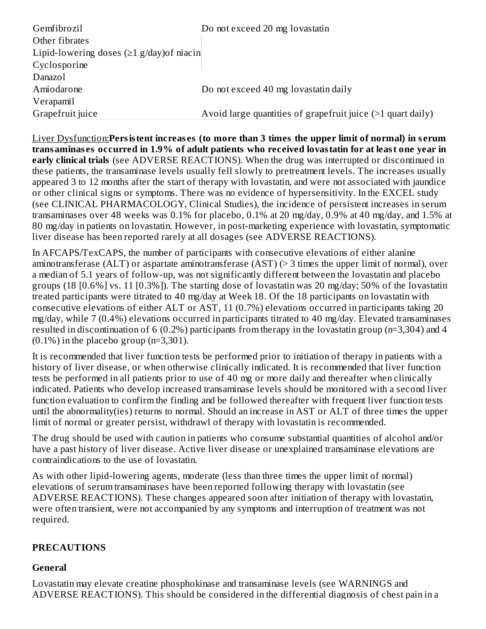| Gemfibrozil                                     | Do not exceed 20 mg lovastatin                              |
|-------------------------------------------------|-------------------------------------------------------------|
| Other fibrates                                  |                                                             |
| Lipid-lowering doses $(\geq 1$ g/day) of niacin |                                                             |
| Cyclosporine                                    |                                                             |
| Danazol                                         |                                                             |
| Amiodarone                                      | Do not exceed 40 mg lovastatin daily                        |
| Verapamil                                       |                                                             |
| Grapefruit juice                                | Avoid large quantities of grapefruit juice (>1 quart daily) |

Liver Dysfunction:**Persistent increas es (to more than 3 times the upper limit of normal) in s erum transaminas es occurred in 1.9% of adult patients who received lovastatin for at least one year in early clinical trials** (see ADVERSE REACTIONS). When the drug was interrupted or discontinued in these patients, the transaminase levels usually fell slowly to pretreatment levels. The increases usually appeared 3 to 12 months after the start of therapy with lovastatin, and were not associated with jaundice or other clinical signs or symptoms. There was no evidence of hypersensitivity. In the EXCEL study (see CLINICAL PHARMACOLOGY, Clinical Studies), the incidence of persistent increases in serum transaminases over 48 weeks was 0.1% for placebo, 0.1% at 20 mg/day, 0.9% at 40 mg/day, and 1.5% at 80 mg/day in patients on lovastatin. However, in post-marketing experience with lovastatin, symptomatic liver disease has been reported rarely at all dosages (see ADVERSE REACTIONS).

In AFCAPS/TexCAPS, the number of participants with consecutive elevations of either alanine aminotransferase (ALT) or aspartate aminotransferase (AST) (> 3 times the upper limit of normal), over a median of 5.1 years of follow-up, was not significantly different between the lovastatin and placebo groups (18 [0.6%] vs. 11 [0.3%]). The starting dose of lovastatin was 20 mg/day; 50% of the lovastatin treated participants were titrated to 40 mg/day at Week 18. Of the 18 participants on lovastatin with consecutive elevations of either ALT or AST, 11 (0.7%) elevations occurred in participants taking 20 mg/day, while 7 (0.4%) elevations occurred in participants titrated to 40 mg/day. Elevated transaminases resulted in discontinuation of 6 (0.2%) participants from therapy in the lovastatin group (n=3,304) and 4  $(0.1\%)$  in the placebo group (n=3,301).

It is recommended that liver function tests be performed prior to initiation of therapy in patients with a history of liver disease, or when otherwise clinically indicated. It is recommended that liver function tests be performed in all patients prior to use of 40 mg or more daily and thereafter when clinically indicated. Patients who develop increased transaminase levels should be monitored with a second liver function evaluation to confirm the finding and be followed thereafter with frequent liver function tests until the abnormality(ies) returns to normal. Should an increase in AST or ALT of three times the upper limit of normal or greater persist, withdrawl of therapy with lovastatin is recommended.

The drug should be used with caution in patients who consume substantial quantities of alcohol and/or have a past history of liver disease. Active liver disease or unexplained transaminase elevations are contraindications to the use of lovastatin.

As with other lipid-lowering agents, moderate (less than three times the upper limit of normal) elevations of serum transaminases have been reported following therapy with lovastatin (see ADVERSE REACTIONS). These changes appeared soon after initiation of therapy with lovastatin, were often transient, were not accompanied by any symptoms and interruption of treatment was not required.

#### **PRECAUTIONS**

## **General**

Lovastatin may elevate creatine phosphokinase and transaminase levels (see WARNINGS and ADVERSE REACTIONS). This should be considered in the differential diagnosis of chest pain in a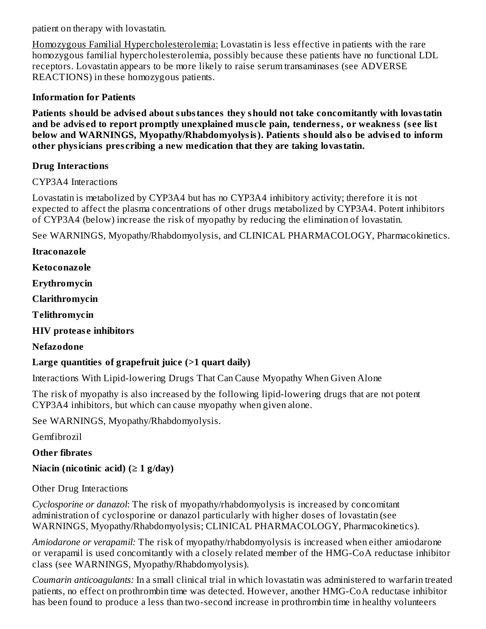patient on therapy with lovastatin.

Homozygous Familial Hypercholesterolemia: Lovastatin is less effective in patients with the rare homozygous familial hypercholesterolemia, possibly because these patients have no functional LDL receptors. Lovastatin appears to be more likely to raise serum transaminases (see ADVERSE REACTIONS) in these homozygous patients.

#### **Information for Patients**

**Patients should be advis ed about substances they should not take concomitantly with lovastatin and be advis ed to report promptly unexplained mus cle pain, tenderness, or weakness (s ee list below and WARNINGS, Myopathy/Rhabdomyolysis). Patients should also be advis ed to inform other physicians pres cribing a new medication that they are taking lovastatin.**

#### **Drug Interactions**

CYP3A4 Interactions

Lovastatin is metabolized by CYP3A4 but has no CYP3A4 inhibitory activity; therefore it is not expected to affect the plasma concentrations of other drugs metabolized by CYP3A4. Potent inhibitors of CYP3A4 (below) increase the risk of myopathy by reducing the elimination of lovastatin.

See WARNINGS, Myopathy/Rhabdomyolysis, and CLINICAL PHARMACOLOGY, Pharmacokinetics.

**Itraconazole**

**Ketoconazole**

**Erythromycin**

**Clarithromycin**

**Telithromycin**

**HIV proteas e inhibitors**

#### **Nefazodone**

## **Large quantities of grapefruit juice (>1 quart daily)**

Interactions With Lipid-lowering Drugs That Can Cause Myopathy When Given Alone

The risk of myopathy is also increased by the following lipid-lowering drugs that are not potent CYP3A4 inhibitors, but which can cause myopathy when given alone.

See WARNINGS, Myopathy/Rhabdomyolysis.

Gemfibrozil

**Other fibrates**

**Niacin (nicotinic acid) (≥ 1 g/day)**

Other Drug Interactions

*Cyclosporine or danazol*: The risk of myopathy/rhabdomyolysis is increased by concomitant administration of cyclosporine or danazol particularly with higher doses of lovastatin (see WARNINGS, Myopathy/Rhabdomyolysis; CLINICAL PHARMACOLOGY, Pharmacokinetics).

*Amiodarone or verapamil:* The risk of myopathy/rhabdomyolysis is increased when either amiodarone or verapamil is used concomitantly with a closely related member of the HMG-CoA reductase inhibitor class (see WARNINGS, Myopathy/Rhabdomyolysis).

*Coumarin anticoagulants:* In a small clinical trial in which lovastatin was administered to warfarin treated patients, no effect on prothrombin time was detected. However, another HMG-CoA reductase inhibitor has been found to produce a less than two-second increase in prothrombin time in healthy volunteers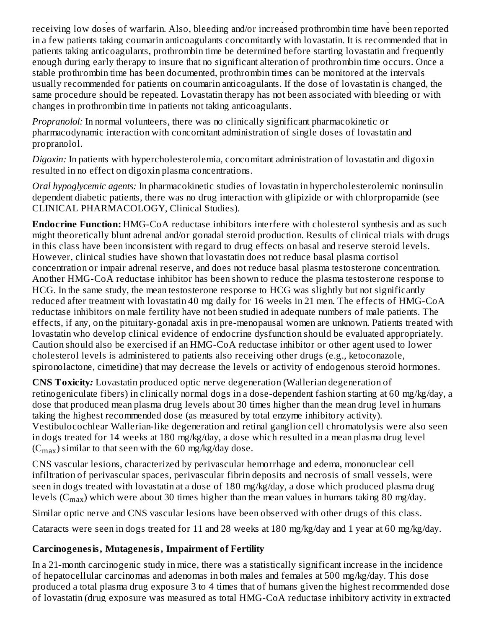has been found to produce a less than two-second increase in prothrombin time in healthy volunteers receiving low doses of warfarin. Also, bleeding and/or increased prothrombin time have been reported in a few patients taking coumarin anticoagulants concomitantly with lovastatin. It is recommended that in patients taking anticoagulants, prothrombin time be determined before starting lovastatin and frequently enough during early therapy to insure that no significant alteration of prothrombin time occurs. Once a stable prothrombin time has been documented, prothrombin times can be monitored at the intervals usually recommended for patients on coumarin anticoagulants. If the dose of lovastatin is changed, the same procedure should be repeated. Lovastatin therapy has not been associated with bleeding or with changes in prothrombin time in patients not taking anticoagulants.

*Propranolol:* In normal volunteers, there was no clinically significant pharmacokinetic or pharmacodynamic interaction with concomitant administration of single doses of lovastatin and propranolol.

*Digoxin:* In patients with hypercholesterolemia, concomitant administration of lovastatin and digoxin resulted in no effect on digoxin plasma concentrations.

*Oral hypoglycemic agents:* In pharmacokinetic studies of lovastatin in hypercholesterolemic noninsulin dependent diabetic patients, there was no drug interaction with glipizide or with chlorpropamide (see CLINICAL PHARMACOLOGY, Clinical Studies).

**Endocrine Function:** HMG-CoA reductase inhibitors interfere with cholesterol synthesis and as such might theoretically blunt adrenal and/or gonadal steroid production. Results of clinical trials with drugs in this class have been inconsistent with regard to drug effects on basal and reserve steroid levels. However, clinical studies have shown that lovastatin does not reduce basal plasma cortisol concentration or impair adrenal reserve, and does not reduce basal plasma testosterone concentration. Another HMG-CoA reductase inhibitor has been shown to reduce the plasma testosterone response to HCG. In the same study, the mean testosterone response to HCG was slightly but not significantly reduced after treatment with lovastatin 40 mg daily for 16 weeks in 21 men. The effects of HMG-CoA reductase inhibitors on male fertility have not been studied in adequate numbers of male patients. The effects, if any, on the pituitary-gonadal axis in pre-menopausal women are unknown. Patients treated with lovastatin who develop clinical evidence of endocrine dysfunction should be evaluated appropriately. Caution should also be exercised if an HMG-CoA reductase inhibitor or other agent used to lower cholesterol levels is administered to patients also receiving other drugs (e.g., ketoconazole, spironolactone, cimetidine) that may decrease the levels or activity of endogenous steroid hormones.

**CNS Toxicity***:* Lovastatin produced optic nerve degeneration (Wallerian degeneration of retinogeniculate fibers) in clinically normal dogs in a dose-dependent fashion starting at 60 mg/kg/day, a dose that produced mean plasma drug levels about 30 times higher than the mean drug level in humans taking the highest recommended dose (as measured by total enzyme inhibitory activity). Vestibulocochlear Wallerian-like degeneration and retinal ganglion cell chromatolysis were also seen in dogs treated for 14 weeks at 180 mg/kg/day, a dose which resulted in a mean plasma drug level  $(C_{\rm max})$  similar to that seen with the 60 mg/kg/day dose.

CNS vascular lesions, characterized by perivascular hemorrhage and edema, mononuclear cell infiltration of perivascular spaces, perivascular fibrin deposits and necrosis of small vessels, were seen in dogs treated with lovastatin at a dose of 180 mg/kg/day, a dose which produced plasma drug levels (C $_{\rm max}$ ) which were about 30 times higher than the mean values in humans taking 80 mg/day.

Similar optic nerve and CNS vascular lesions have been observed with other drugs of this class.

Cataracts were seen in dogs treated for 11 and 28 weeks at 180 mg/kg/day and 1 year at 60 mg/kg/day.

## **Carcinogenesis, Mutagenesis, Impairment of Fertility**

In a 21-month carcinogenic study in mice, there was a statistically significant increase in the incidence of hepatocellular carcinomas and adenomas in both males and females at 500 mg/kg/day. This dose produced a total plasma drug exposure 3 to 4 times that of humans given the highest recommended dose of lovastatin (drug exposure was measured as total HMG-CoA reductase inhibitory activity in extracted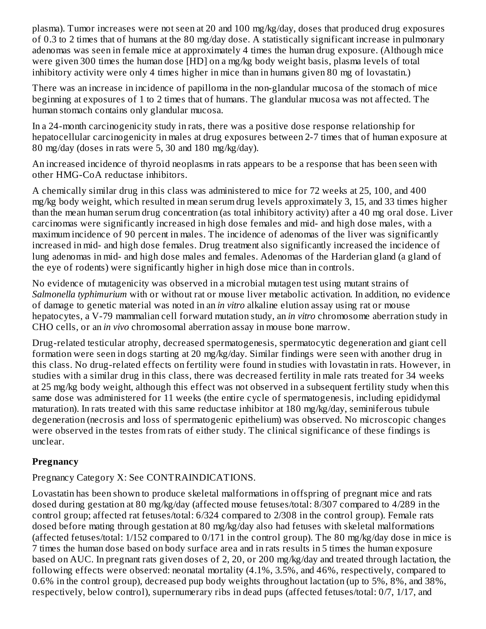plasma). Tumor increases were not seen at 20 and 100 mg/kg/day, doses that produced drug exposures of 0.3 to 2 times that of humans at the 80 mg/day dose. A statistically significant increase in pulmonary adenomas was seen in female mice at approximately 4 times the human drug exposure. (Although mice were given 300 times the human dose [HD] on a mg/kg body weight basis, plasma levels of total inhibitory activity were only 4 times higher in mice than in humans given 80 mg of lovastatin.)

There was an increase in incidence of papilloma in the non-glandular mucosa of the stomach of mice beginning at exposures of 1 to 2 times that of humans. The glandular mucosa was not affected. The human stomach contains only glandular mucosa.

In a 24-month carcinogenicity study in rats, there was a positive dose response relationship for hepatocellular carcinogenicity in males at drug exposures between 2-7 times that of human exposure at 80 mg/day (doses in rats were 5, 30 and 180 mg/kg/day).

An increased incidence of thyroid neoplasms in rats appears to be a response that has been seen with other HMG-CoA reductase inhibitors.

A chemically similar drug in this class was administered to mice for 72 weeks at 25, 100, and 400 mg/kg body weight, which resulted in mean serum drug levels approximately 3, 15, and 33 times higher than the mean human serum drug concentration (as total inhibitory activity) after a 40 mg oral dose. Liver carcinomas were significantly increased in high dose females and mid- and high dose males, with a maximum incidence of 90 percent in males. The incidence of adenomas of the liver was significantly increased in mid- and high dose females. Drug treatment also significantly increased the incidence of lung adenomas in mid- and high dose males and females. Adenomas of the Harderian gland (a gland of the eye of rodents) were significantly higher in high dose mice than in controls.

No evidence of mutagenicity was observed in a microbial mutagen test using mutant strains of *Salmonella typhimurium* with or without rat or mouse liver metabolic activation. In addition, no evidence of damage to genetic material was noted in an *in vitro* alkaline elution assay using rat or mouse hepatocytes, a V-79 mammalian cell forward mutation study, an *in vitro* chromosome aberration study in CHO cells, or an *in vivo* chromosomal aberration assay in mouse bone marrow.

Drug-related testicular atrophy, decreased spermatogenesis, spermatocytic degeneration and giant cell formation were seen in dogs starting at 20 mg/kg/day. Similar findings were seen with another drug in this class. No drug-related effects on fertility were found in studies with lovastatin in rats. However, in studies with a similar drug in this class, there was decreased fertility in male rats treated for 34 weeks at 25 mg/kg body weight, although this effect was not observed in a subsequent fertility study when this same dose was administered for 11 weeks (the entire cycle of spermatogenesis, including epididymal maturation). In rats treated with this same reductase inhibitor at 180 mg/kg/day, seminiferous tubule degeneration (necrosis and loss of spermatogenic epithelium) was observed. No microscopic changes were observed in the testes from rats of either study. The clinical significance of these findings is unclear.

## **Pregnancy**

## Pregnancy Category X: See CONTRAINDICATIONS.

Lovastatin has been shown to produce skeletal malformations in offspring of pregnant mice and rats dosed during gestation at 80 mg/kg/day (affected mouse fetuses/total: 8/307 compared to 4/289 in the control group; affected rat fetuses/total: 6/324 compared to 2/308 in the control group). Female rats dosed before mating through gestation at 80 mg/kg/day also had fetuses with skeletal malformations (affected fetuses/total: 1/152 compared to 0/171 in the control group). The 80 mg/kg/day dose in mice is 7 times the human dose based on body surface area and in rats results in 5 times the human exposure based on AUC. In pregnant rats given doses of 2, 20, or 200 mg/kg/day and treated through lactation, the following effects were observed: neonatal mortality (4.1%, 3.5%, and 46%, respectively, compared to 0.6% in the control group), decreased pup body weights throughout lactation (up to 5%, 8%, and 38%, respectively, below control), supernumerary ribs in dead pups (affected fetuses/total: 0/7, 1/17, and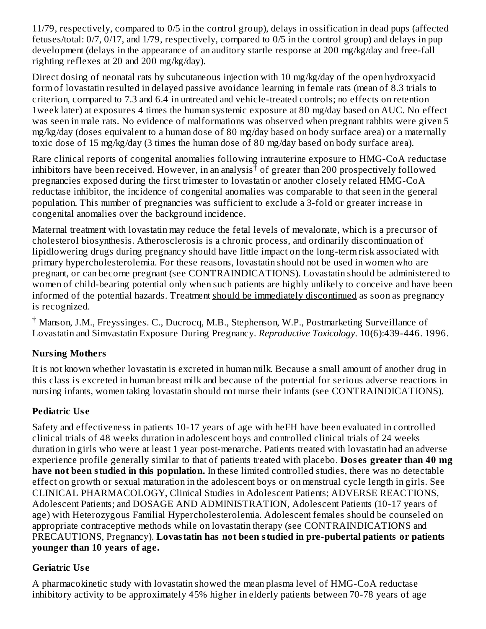11/79, respectively, compared to 0/5 in the control group), delays in ossification in dead pups (affected fetuses/total: 0/7, 0/17, and 1/79, respectively, compared to 0/5 in the control group) and delays in pup development (delays in the appearance of an auditory startle response at 200 mg/kg/day and free-fall righting reflexes at 20 and 200 mg/kg/day).

Direct dosing of neonatal rats by subcutaneous injection with 10 mg/kg/day of the open hydroxyacid form of lovastatin resulted in delayed passive avoidance learning in female rats (mean of 8.3 trials to criterion, compared to 7.3 and 6.4 in untreated and vehicle-treated controls; no effects on retention 1week later) at exposures 4 times the human systemic exposure at 80 mg/day based on AUC. No effect was seen in male rats. No evidence of malformations was observed when pregnant rabbits were given 5 mg/kg/day (doses equivalent to a human dose of 80 mg/day based on body surface area) or a maternally toxic dose of 15 mg/kg/day (3 times the human dose of 80 mg/day based on body surface area).

Rare clinical reports of congenital anomalies following intrauterine exposure to HMG-CoA reductase inhibitors have been received. However, in an analysis $^{\bar{+}}$  of greater than 200 prospectively followed pregnancies exposed during the first trimester to lovastatin or another closely related HMG-CoA reductase inhibitor, the incidence of congenital anomalies was comparable to that seen in the general population. This number of pregnancies was sufficient to exclude a 3-fold or greater increase in congenital anomalies over the background incidence.

Maternal treatment with lovastatin may reduce the fetal levels of mevalonate, which is a precursor of cholesterol biosynthesis. Atherosclerosis is a chronic process, and ordinarily discontinuation of lipidlowering drugs during pregnancy should have little impact on the long-term risk associated with primary hypercholesterolemia. For these reasons, lovastatin should not be used in women who are pregnant, or can become pregnant (see CONTRAINDICATIONS). Lovastatin should be administered to women of child-bearing potential only when such patients are highly unlikely to conceive and have been informed of the potential hazards. Treatment should be immediately discontinued as soon as pregnancy is recognized.

 $\dagger$  Manson, J.M., Freyssinges. C., Ducrocq, M.B., Stephenson, W.P., Postmarketing Surveillance of Lovastatin and Simvastatin Exposure During Pregnancy. *Reproductive Toxicology*. 10(6):439-446. 1996.

# **Nursing Mothers**

It is not known whether lovastatin is excreted in human milk. Because a small amount of another drug in this class is excreted in human breast milk and because of the potential for serious adverse reactions in nursing infants, women taking lovastatin should not nurse their infants (see CONTRAINDICATIONS).

# **Pediatric Us e**

Safety and effectiveness in patients 10-17 years of age with heFH have been evaluated in controlled clinical trials of 48 weeks duration in adolescent boys and controlled clinical trials of 24 weeks duration in girls who were at least 1 year post-menarche. Patients treated with lovastatin had an adverse experience profile generally similar to that of patients treated with placebo. **Dos es greater than 40 mg have not been studied in this population.** In these limited controlled studies, there was no detectable effect on growth or sexual maturation in the adolescent boys or on menstrual cycle length in girls. See CLINICAL PHARMACOLOGY, Clinical Studies in Adolescent Patients; ADVERSE REACTIONS, Adolescent Patients; and DOSAGE AND ADMINISTRATION, Adolescent Patients (10-17 years of age) with Heterozygous Familial Hypercholesterolemia. Adolescent females should be counseled on appropriate contraceptive methods while on lovastatin therapy (see CONTRAINDICATIONS and PRECAUTIONS, Pregnancy). **Lovastatin has not been studied in pre-pubertal patients or patients younger than 10 years of age.**

## **Geriatric Us e**

A pharmacokinetic study with lovastatin showed the mean plasma level of HMG-CoA reductase inhibitory activity to be approximately 45% higher in elderly patients between 70-78 years of age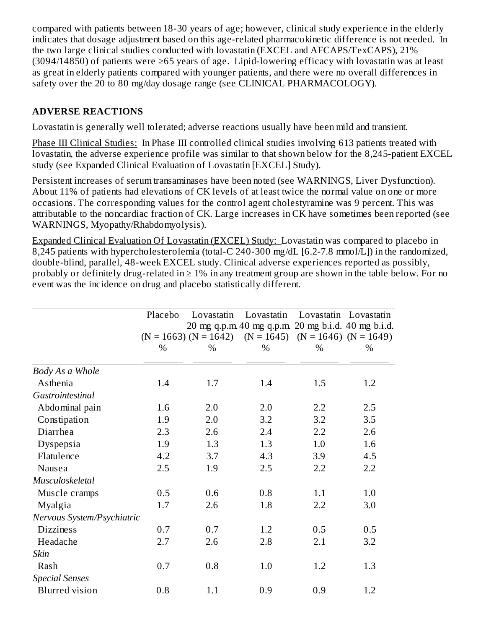compared with patients between 18-30 years of age; however, clinical study experience in the elderly indicates that dosage adjustment based on this age-related pharmacokinetic difference is not needed. In the two large clinical studies conducted with lovastatin (EXCEL and AFCAPS/TexCAPS), 21% (3094/14850) of patients were ≥65 years of age. Lipid-lowering efficacy with lovastatin was at least as great in elderly patients compared with younger patients, and there were no overall differences in safety over the 20 to 80 mg/day dosage range (see CLINICAL PHARMACOLOGY).

#### **ADVERSE REACTIONS**

Lovastatin is generally well tolerated; adverse reactions usually have been mild and transient.

Phase III Clinical Studies: In Phase III controlled clinical studies involving 613 patients treated with lovastatin, the adverse experience profile was similar to that shown below for the 8,245-patient EXCEL study (see Expanded Clinical Evaluation of Lovastatin [EXCEL] Study).

Persistent increases of serum transaminases have been noted (see WARNINGS, Liver Dysfunction). About 11% of patients had elevations of CK levels of at least twice the normal value on one or more occasions. The corresponding values for the control agent cholestyramine was 9 percent. This was attributable to the noncardiac fraction of CK. Large increases in CK have sometimes been reported (see WARNINGS, Myopathy/Rhabdomyolysis).

Expanded Clinical Evaluation Of Lovastatin (EXCEL) Study: Lovastatin was compared to placebo in 8,245 patients with hypercholesterolemia (total-C 240-300 mg/dL [6.2-7.8 mmol/L]) in the randomized, double-blind, parallel, 48-week EXCEL study. Clinical adverse experiences reported as possibly, probably or definitely drug-related in  $\geq 1\%$  in any treatment group are shown in the table below. For no event was the incidence on drug and placebo statistically different.

|                            | Placebo | Lovastatin | Lovastatin                                                       |      | Lovastatin Lovastatin |
|----------------------------|---------|------------|------------------------------------------------------------------|------|-----------------------|
|                            |         |            | 20 mg q.p.m. 40 mg q.p.m. 20 mg b.i.d. 40 mg b.i.d.              |      |                       |
|                            |         |            | $(N = 1663)$ $(N = 1642)$ $(N = 1645)$ $(N = 1646)$ $(N = 1649)$ |      |                       |
|                            | %       | $\%$       | $\%$                                                             | $\%$ | $\%$                  |
| Body As a Whole            |         |            |                                                                  |      |                       |
| Asthenia                   | 1.4     | 1.7        | 1.4                                                              | 1.5  | 1.2                   |
| Gastrointestinal           |         |            |                                                                  |      |                       |
| Abdominal pain             | 1.6     | 2.0        | 2.0                                                              | 2.2  | 2.5                   |
| Constipation               | 1.9     | 2.0        | 3.2                                                              | 3.2  | 3.5                   |
| Diarrhea                   | 2.3     | 2.6        | 2.4                                                              | 2.2  | 2.6                   |
| Dyspepsia                  | 1.9     | 1.3        | 1.3                                                              | 1.0  | 1.6                   |
| Flatulence                 | 4.2     | 3.7        | 4.3                                                              | 3.9  | 4.5                   |
| Nausea                     | 2.5     | 1.9        | 2.5                                                              | 2.2  | 2.2                   |
| Musculoskeletal            |         |            |                                                                  |      |                       |
| Muscle cramps              | 0.5     | 0.6        | 0.8                                                              | 1.1  | 1.0                   |
| Myalgia                    | 1.7     | 2.6        | 1.8                                                              | 2.2  | 3.0                   |
| Nervous System/Psychiatric |         |            |                                                                  |      |                       |
| <b>Dizziness</b>           | 0.7     | 0.7        | 1.2                                                              | 0.5  | 0.5                   |
| Headache                   | 2.7     | 2.6        | 2.8                                                              | 2.1  | 3.2                   |
| Skin                       |         |            |                                                                  |      |                       |
| Rash                       | 0.7     | 0.8        | 1.0                                                              | 1.2  | 1.3                   |
| <b>Special Senses</b>      |         |            |                                                                  |      |                       |
| <b>Blurred</b> vision      | 0.8     | 1.1        | 0.9                                                              | 0.9  | 1.2                   |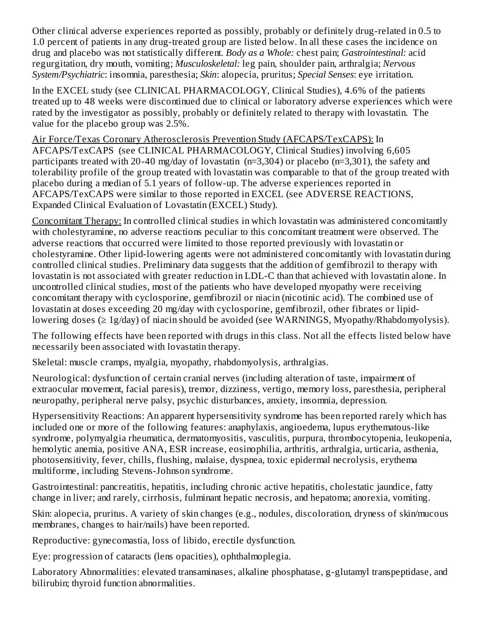Other clinical adverse experiences reported as possibly, probably or definitely drug-related in 0.5 to 1.0 percent of patients in any drug-treated group are listed below. In all these cases the incidence on drug and placebo was not statistically different. *Body as a Whole:* chest pain; *Gastrointestinal:* acid regurgitation, dry mouth, vomiting; *Musculoskeletal:* leg pain, shoulder pain, arthralgia; *Nervous System/Psychiatric*: insomnia, paresthesia; *Skin*: alopecia, pruritus; *Special Senses*: eye irritation.

In the EXCEL study (see CLINICAL PHARMACOLOGY, Clinical Studies), 4.6% of the patients treated up to 48 weeks were discontinued due to clinical or laboratory adverse experiences which were rated by the investigator as possibly, probably or definitely related to therapy with lovastatin. The value for the placebo group was 2.5%.

Air Force/Texas Coronary Atherosclerosis Prevention Study (AFCAPS/TexCAPS): In AFCAPS/TexCAPS (see CLINICAL PHARMACOLOGY, Clinical Studies) involving 6,605 participants treated with 20-40 mg/day of lovastatin (n=3,304) or placebo (n=3,301), the safety and tolerability profile of the group treated with lovastatin was comparable to that of the group treated with placebo during a median of 5.1 years of follow-up. The adverse experiences reported in AFCAPS/TexCAPS were similar to those reported in EXCEL (see ADVERSE REACTIONS, Expanded Clinical Evaluation of Lovastatin (EXCEL) Study).

Concomitant Therapy: In controlled clinical studies in which lovastatin was administered concomitantly with cholestyramine, no adverse reactions peculiar to this concomitant treatment were observed. The adverse reactions that occurred were limited to those reported previously with lovastatin or cholestyramine. Other lipid-lowering agents were not administered concomitantly with lovastatin during controlled clinical studies. Preliminary data suggests that the addition of gemfibrozil to therapy with lovastatin is not associated with greater reduction in LDL-C than that achieved with lovastatin alone. In uncontrolled clinical studies, most of the patients who have developed myopathy were receiving concomitant therapy with cyclosporine, gemfibrozil or niacin (nicotinic acid). The combined use of lovastatin at doses exceeding 20 mg/day with cyclosporine, gemfibrozil, other fibrates or lipidlowering doses ( $\geq 1$ g/day) of niacin should be avoided (see WARNINGS, Myopathy/Rhabdomyolysis).

The following effects have been reported with drugs in this class. Not all the effects listed below have necessarily been associated with lovastatin therapy.

Skeletal: muscle cramps, myalgia, myopathy, rhabdomyolysis, arthralgias.

Neurological: dysfunction of certain cranial nerves (including alteration of taste, impairment of extraocular movement, facial paresis), tremor, dizziness, vertigo, memory loss, paresthesia, peripheral neuropathy, peripheral nerve palsy, psychic disturbances, anxiety, insomnia, depression.

Hypersensitivity Reactions: An apparent hypersensitivity syndrome has been reported rarely which has included one or more of the following features: anaphylaxis, angioedema, lupus erythematous-like syndrome, polymyalgia rheumatica, dermatomyositis, vasculitis, purpura, thrombocytopenia, leukopenia, hemolytic anemia, positive ANA, ESR increase, eosinophilia, arthritis, arthralgia, urticaria, asthenia, photosensitivity, fever, chills, flushing, malaise, dyspnea, toxic epidermal necrolysis, erythema multiforme, including Stevens-Johnson syndrome.

Gastrointestinal: pancreatitis, hepatitis, including chronic active hepatitis, cholestatic jaundice, fatty change in liver; and rarely, cirrhosis, fulminant hepatic necrosis, and hepatoma; anorexia, vomiting.

Skin: alopecia, pruritus. A variety of skin changes (e.g., nodules, discoloration, dryness of skin/mucous membranes, changes to hair/nails) have been reported.

Reproductive: gynecomastia, loss of libido, erectile dysfunction.

Eye: progression of cataracts (lens opacities), ophthalmoplegia.

Laboratory Abnormalities: elevated transaminases, alkaline phosphatase, g-glutamyl transpeptidase, and bilirubin; thyroid function abnormalities.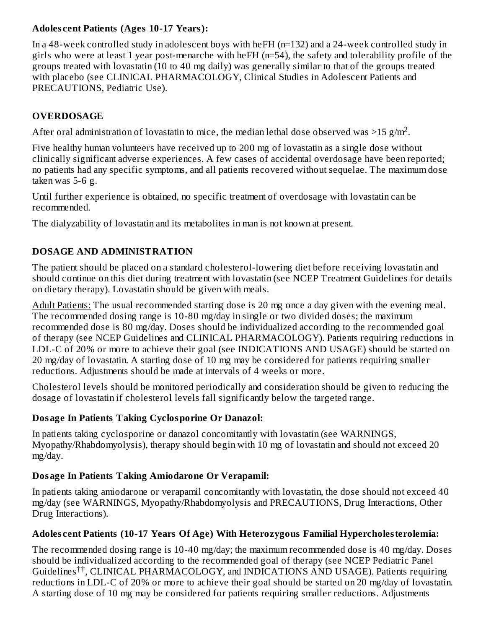## **Adoles cent Patients (Ages 10-17 Years):**

In a 48-week controlled study in adolescent boys with heFH (n=132) and a 24-week controlled study in girls who were at least 1 year post-menarche with he $FH$  ( $n=54$ ), the safety and tolerability profile of the groups treated with lovastatin (10 to 40 mg daily) was generally similar to that of the groups treated with placebo (see CLINICAL PHARMACOLOGY, Clinical Studies in Adolescent Patients and PRECAUTIONS, Pediatric Use).

## **OVERDOSAGE**

After oral administration of lovastatin to mice, the median lethal dose observed was >15 g/m<sup>2</sup>.

Five healthy human volunteers have received up to 200 mg of lovastatin as a single dose without clinically significant adverse experiences. A few cases of accidental overdosage have been reported; no patients had any specific symptoms, and all patients recovered without sequelae. The maximum dose taken was 5-6 g.

Until further experience is obtained, no specific treatment of overdosage with lovastatin can be recommended.

The dialyzability of lovastatin and its metabolites in man is not known at present.

## **DOSAGE AND ADMINISTRATION**

The patient should be placed on a standard cholesterol-lowering diet before receiving lovastatin and should continue on this diet during treatment with lovastatin (see NCEP Treatment Guidelines for details on dietary therapy). Lovastatin should be given with meals.

Adult Patients: The usual recommended starting dose is 20 mg once a day given with the evening meal. The recommended dosing range is 10-80 mg/day in single or two divided doses; the maximum recommended dose is 80 mg/day. Doses should be individualized according to the recommended goal of therapy (see NCEP Guidelines and CLINICAL PHARMACOLOGY). Patients requiring reductions in LDL-C of 20% or more to achieve their goal (see INDICATIONS AND USAGE) should be started on 20 mg/day of lovastatin. A starting dose of 10 mg may be considered for patients requiring smaller reductions. Adjustments should be made at intervals of 4 weeks or more.

Cholesterol levels should be monitored periodically and consideration should be given to reducing the dosage of lovastatin if cholesterol levels fall significantly below the targeted range.

## **Dosage In Patients Taking Cyclosporine Or Danazol:**

In patients taking cyclosporine or danazol concomitantly with lovastatin (see WARNINGS, Myopathy/Rhabdomyolysis), therapy should begin with 10 mg of lovastatin and should not exceed 20 mg/day.

## **Dosage In Patients Taking Amiodarone Or Verapamil:**

In patients taking amiodarone or verapamil concomitantly with lovastatin, the dose should not exceed 40 mg/day (see WARNINGS, Myopathy/Rhabdomyolysis and PRECAUTIONS, Drug Interactions, Other Drug Interactions).

#### **Adoles cent Patients (10-17 Years Of Age) With Heterozygous Familial Hypercholesterolemia:**

The recommended dosing range is 10-40 mg/day; the maximum recommended dose is 40 mg/day. Doses should be individualized according to the recommended goal of therapy (see NCEP Pediatric Panel Guidelines<sup>††</sup>, CLINICAL PHARMACOLOGY, and INDICATIONS AND USAGE). Patients requiring reductions in LDL-C of 20% or more to achieve their goal should be started on 20 mg/day of lovastatin. A starting dose of 10 mg may be considered for patients requiring smaller reductions. Adjustments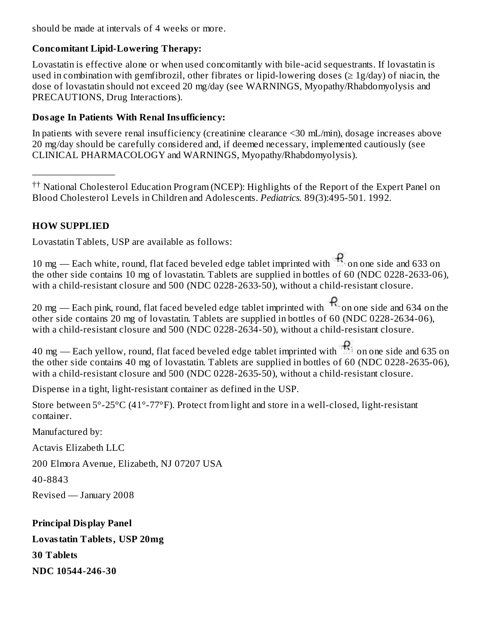should be made at intervals of 4 weeks or more.

#### **Concomitant Lipid-Lowering Therapy:**

Lovastatin is effective alone or when used concomitantly with bile-acid sequestrants. If lovastatin is used in combination with gemfibrozil, other fibrates or lipid-lowering doses ( $\geq 1$ g/day) of niacin, the dose of lovastatin should not exceed 20 mg/day (see WARNINGS, Myopathy/Rhabdomyolysis and PRECAUTIONS, Drug Interactions).

#### **Dosage In Patients With Renal Insufficiency:**

In patients with severe renal insufficiency (creatinine clearance <30 mL/min), dosage increases above 20 mg/day should be carefully considered and, if deemed necessary, implemented cautiously (see CLINICAL PHARMACOLOGY and WARNINGS, Myopathy/Rhabdomyolysis).

<sup>††</sup> National Cholesterol Education Program (NCEP): Highlights of the Report of the Expert Panel on Blood Cholesterol Levels in Children and Adolescents. *Pediatrics.* 89(3):495-501. 1992.

#### **HOW SUPPLIED**

 $\overline{\phantom{a}}$  . The set of the set of the set of the set of the set of the set of the set of the set of the set of the set of the set of the set of the set of the set of the set of the set of the set of the set of the set o

Lovastatin Tablets, USP are available as follows:

10 mg — Each white, round, flat faced beveled edge tablet imprinted with  $\mathbb{R}$  on one side and 633 on the other side contains 10 mg of lovastatin. Tablets are supplied in bottles of 60 (NDC 0228-2633-06), with a child-resistant closure and 500 (NDC 0228-2633-50), without a child-resistant closure.

20 mg — Each pink, round, flat faced beveled edge tablet imprinted with  $R_{\circ}$  on one side and 634 on the other side contains 20 mg of lovastatin. Tablets are supplied in bottles of 60 (NDC 0228-2634-06), with a child-resistant closure and 500 (NDC 0228-2634-50), without a child-resistant closure.

40 mg — Each yellow, round, flat faced beveled edge tablet imprinted with  $\mathbf{R}$  on one side and 635 on the other side contains 40 mg of lovastatin. Tablets are supplied in bottles of 60 (NDC 0228-2635-06), with a child-resistant closure and 500 (NDC 0228-2635-50), without a child-resistant closure.

Dispense in a tight, light-resistant container as defined in the USP.

Store between 5°-25°C (41°-77°F). Protect from light and store in a well-closed, light-resistant container.

Manufactured by:

Actavis Elizabeth LLC

200 Elmora Avenue, Elizabeth, NJ 07207 USA

40-8843

Revised — January 2008

## **Principal Display Panel**

**Lovastatin Tablets, USP 20mg**

**30 Tablets**

**NDC 10544-246-30**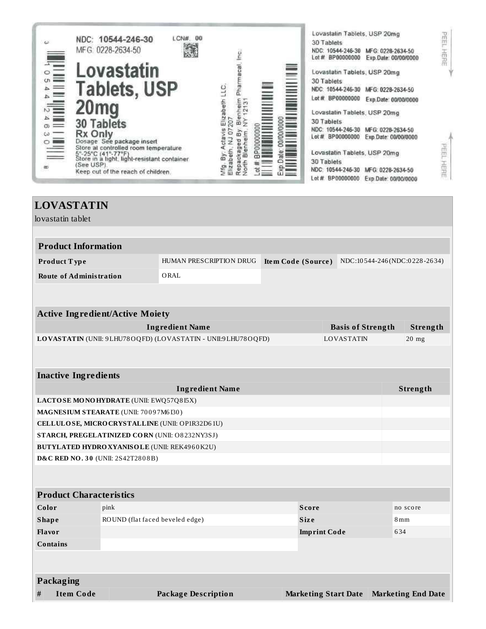| $\omega$<br>肩                                                | CN# 00<br>NDC: 10544-246-30<br>MFG: 0228-2634-50                                                                                                             |                                                     | Lovastalin Tablets, USP 20mg<br>30 Tablets<br>NDC: 10544-246-30<br>MFG: 0228-2634-50<br>Lot # BP00000000<br>Exp.Date: 00/00/0000 | 高昭 |
|--------------------------------------------------------------|--------------------------------------------------------------------------------------------------------------------------------------------------------------|-----------------------------------------------------|----------------------------------------------------------------------------------------------------------------------------------|----|
| Ch<br>$\prod_{4}^{4}$                                        | Lovastatin<br><b>Tablets, USP</b>                                                                                                                            | MHI III<br>Nati<br>≡<br>≣<br>틂                      | Lovastatin Tablets, USP 20mg<br>30 Tablets<br>NDC: 10544-246-30 MFG: 0228-2634-50<br>Lot # BP00000000<br>Exp.Date: 00/00/0000    |    |
| $\frac{1}{\sqrt{2}}$<br>$\equiv$ $\frac{4}{8}$               | 20 <sub>mg</sub><br><b>30 Tablets</b><br>Rx Only<br>Dosage See package insert                                                                                | <br>                 <br>$\overline{m}_Z$<br>ő<br>뭅 | Lovastatin Tablets, USP 20mg<br>30 Tablets<br>NDC: 10544-246-30<br>MFG: 0228-2634-50<br>Lot # BP00000000<br>Exp.Date: 00/00/0000 |    |
| $\begin{array}{c} \mathbf{m} \\ \mathbf{m} \end{array}$<br>œ | Store at controlled room temperature<br>5°-25°C (41°-77°F)<br>Store in a tight, light-resistant container<br>(See USP)<br>Keep out of the reach of children. | ate<br>o                                            | Lovastatin Tablets, USP 20mg<br>30 Tablets<br>NDC: 10544-246-30 MFG: 0228-2634-50<br>of # $BP00000000$ $Fyn$ $Data$ $00000000$   | 吉平 |

the control of the control of the control of

| <b>LOVASTATIN</b>                              |                                                 |                                                              |  |                             |  |                          |          |                              |
|------------------------------------------------|-------------------------------------------------|--------------------------------------------------------------|--|-----------------------------|--|--------------------------|----------|------------------------------|
| lovastatin tablet                              |                                                 |                                                              |  |                             |  |                          |          |                              |
|                                                |                                                 |                                                              |  |                             |  |                          |          |                              |
| <b>Product Information</b>                     |                                                 |                                                              |  |                             |  |                          |          |                              |
| Product Type                                   |                                                 | HUMAN PRESCRIPTION DRUG                                      |  | Item Code (Source)          |  |                          |          | NDC:10544-246(NDC:0228-2634) |
| <b>Route of Administration</b>                 |                                                 | ORAL                                                         |  |                             |  |                          |          |                              |
|                                                |                                                 |                                                              |  |                             |  |                          |          |                              |
|                                                |                                                 |                                                              |  |                             |  |                          |          |                              |
| <b>Active Ingredient/Active Moiety</b>         |                                                 |                                                              |  |                             |  |                          |          |                              |
|                                                |                                                 | <b>Ingredient Name</b>                                       |  |                             |  | <b>Basis of Strength</b> |          | Strength                     |
|                                                |                                                 | LOVASTATIN (UNII: 9LHU78OQFD) (LOVASTATIN - UNII:9LHU78OQFD) |  |                             |  | <b>LOVASTATIN</b>        |          | $20$ mg                      |
|                                                |                                                 |                                                              |  |                             |  |                          |          |                              |
|                                                |                                                 |                                                              |  |                             |  |                          |          |                              |
| <b>Inactive Ingredients</b>                    |                                                 |                                                              |  |                             |  |                          |          |                              |
| <b>Ingredient Name</b>                         |                                                 |                                                              |  |                             |  |                          | Strength |                              |
| LACTOSE MONOHYDRATE (UNII: EWQ57Q8I5X)         |                                                 |                                                              |  |                             |  |                          |          |                              |
| MAGNESIUM STEARATE (UNII: 70097M6I30)          |                                                 |                                                              |  |                             |  |                          |          |                              |
|                                                | CELLULOSE, MICRO CRYSTALLINE (UNII: OP1R32D61U) |                                                              |  |                             |  |                          |          |                              |
| STARCH, PREGELATINIZED CORN (UNII: O8232NY3SJ) |                                                 |                                                              |  |                             |  |                          |          |                              |
| BUTYLATED HYDRO XYANISOLE (UNII: REK4960K2U)   |                                                 |                                                              |  |                             |  |                          |          |                              |
| D&C RED NO. 30 (UNII: 2S42T2808B)              |                                                 |                                                              |  |                             |  |                          |          |                              |
|                                                |                                                 |                                                              |  |                             |  |                          |          |                              |
|                                                |                                                 |                                                              |  |                             |  |                          |          |                              |
| <b>Product Characteristics</b>                 |                                                 |                                                              |  |                             |  |                          |          |                              |
| Color                                          | pink                                            |                                                              |  | <b>Score</b>                |  |                          |          | no score                     |
| <b>Shape</b>                                   | ROUND (flat faced beveled edge)                 |                                                              |  | <b>Size</b>                 |  |                          |          | 8 <sub>mm</sub>              |
| Flavor                                         |                                                 |                                                              |  | <b>Imprint Code</b>         |  |                          |          | 634                          |
| <b>Contains</b>                                |                                                 |                                                              |  |                             |  |                          |          |                              |
|                                                |                                                 |                                                              |  |                             |  |                          |          |                              |
| Packaging                                      |                                                 |                                                              |  |                             |  |                          |          |                              |
| <b>Item Code</b><br>#                          |                                                 | <b>Package Description</b>                                   |  | <b>Marketing Start Date</b> |  |                          |          | <b>Marketing End Date</b>    |
|                                                |                                                 |                                                              |  |                             |  |                          |          |                              |